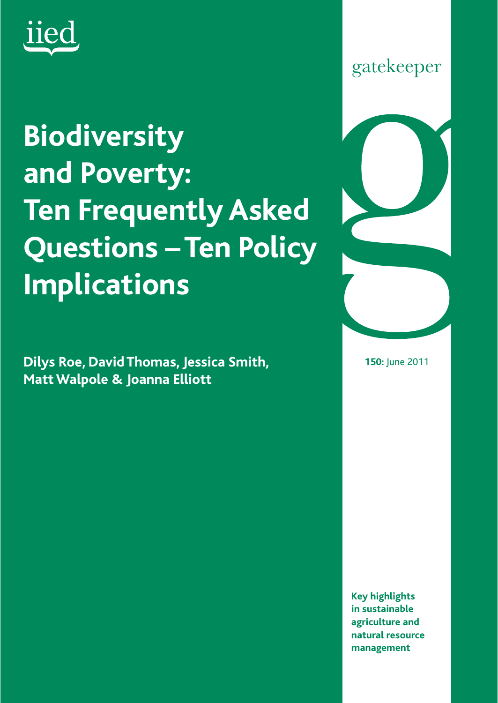

# **Biodiversity and Poverty: Ten Frequently Asked Questions – Ten Policy Implications**

**Dilys Roe, David Thomas, Jessica Smith, Matt Walpole & Joanna Elliott**

gatekeeper



**150:** June 2011

**Key highlights in sustainable agriculture and natural resource management**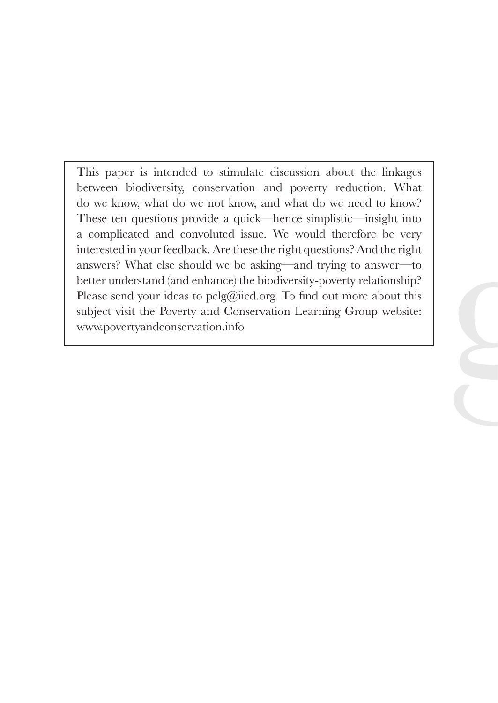This paper is intended to stimulate discussion about the linkages between biodiversity, conservation and poverty reduction. What do we know, what do we not know, and what do we need to know? These ten questions provide a quick—hence simplistic—insight into a complicated and convoluted issue. We would therefore be very interested in your feedback. Are these the right questions? And the right answers? What else should we be asking—and trying to answer—to better understand (and enhance) the biodiversity-poverty relationship? Please send your ideas to  $\text{pclg}(\hat{\theta})$  and  $\text{cm}$  and  $\text{cm}$  out more about this subject visit the Poverty and Conservation Learning Group website: www.povertyandconservation.info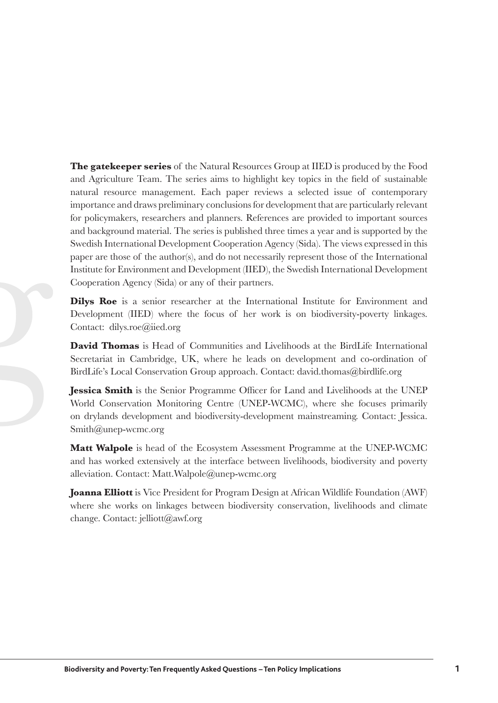**The gatekeeper series** of the Natural Resources Group at IIED is produced by the Food and Agriculture Team. The series aims to highlight key topics in the field of sustainable natural resource management. Each paper reviews a selected issue of contemporary importance and draws preliminary conclusions for development that are particularly relevant for policymakers, researchers and planners. References are provided to important sources and background material. The series is published three times a year and is supported by the Swedish International Development Cooperation Agency (Sida). The views expressed in this paper are those of the author(s), and do not necessarily represent those of the International Institute for Environment and Development (IIED), the Swedish International Development Cooperation Agency (Sida) or any of their partners.

**Dilys Roe** is a senior researcher at the International Institute for Environment and Development (IIED) where the focus of her work is on biodiversity-poverty linkages. Contact: dilys.roe@iied.org

**David Thomas** is Head of Communities and Livelihoods at the BirdLife International Secretariat in Cambridge, UK, where he leads on development and co-ordination of BirdLife's Local Conservation Group approach. Contact: david.thomas@birdlife.org

**Jessica Smith** is the Senior Programme Officer for Land and Livelihoods at the UNEP World Conservation Monitoring Centre (UNEP-WCMC), where she focuses primarily on drylands development and biodiversity-development mainstreaming. Contact: Jessica. Smith@unep-wcmc.org

**Matt Walpole** is head of the Ecosystem Assessment Programme at the UNEP-WCMC and has worked extensively at the interface between livelihoods, biodiversity and poverty alleviation. Contact: Matt.Walpole@unep-wcmc.org

**Joanna Elliott** is Vice President for Program Design at African Wildlife Foundation (AWF) where she works on linkages between biodiversity conservation, livelihoods and climate change. Contact: jelliott@awf.org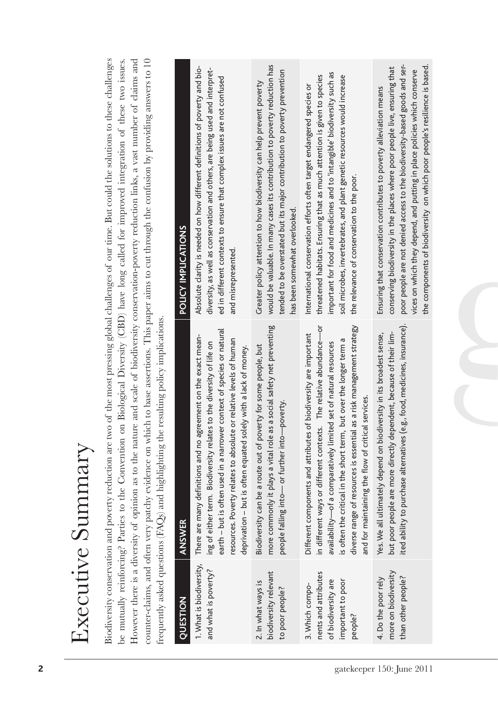# Executive Summary

| poverty reduction are two of the most pressing global challenges of our time. But could the solutions to these challenge<br>be mutually reinforcing? Parties to the Convention on Biological Diversity (CBD) have long called for improved integration of these two issue<br>However there is a diversity of opinion as to the nature and scale of biodiversity conservation-poverty reduction links, a vast number of claims an<br>counter-claims, and often very patchy evidence on which to base assertions. This paper aims to cut through the confusion by providing answers to 1 | POLICY IMPLICATIONS | Absolute clarity is needed on how different definitions of poverty and bio-<br>diversity, as well as conservation and others, are being used and interpret-<br>ed in different contexts to ensure that complex issues are not confused<br>and misrepresented.                                                                                            | would be valuable. In many cases its contribution to poverty reduction has<br>tended to be overstated but its major contribution to poverty prevention<br>Greater policy attention to how biodiversity can help prevent poverty<br>has been somewhat overlooked. | important for food and medicines and to 'intangible' biodiversity such as<br>threatened habitats. Ensuring that as much attention is given to species<br>soil microbes, invertebrates, and plant genetic resources would increase<br>International conservation efforts often target endangered species or<br>the relevance of conservation to the poor.                                                             | poor people are not denied access to the biodiversity-based goods and ser-<br>the components of biodiversity on which poor people's resilience is based.<br>conserving biodiversity in the places where poor people live, ensuring that<br>vices on which they depend, and putting in place policies which conserve<br>Ensuring that conservation contributes to poverty alleviation means |
|----------------------------------------------------------------------------------------------------------------------------------------------------------------------------------------------------------------------------------------------------------------------------------------------------------------------------------------------------------------------------------------------------------------------------------------------------------------------------------------------------------------------------------------------------------------------------------------|---------------------|----------------------------------------------------------------------------------------------------------------------------------------------------------------------------------------------------------------------------------------------------------------------------------------------------------------------------------------------------------|------------------------------------------------------------------------------------------------------------------------------------------------------------------------------------------------------------------------------------------------------------------|----------------------------------------------------------------------------------------------------------------------------------------------------------------------------------------------------------------------------------------------------------------------------------------------------------------------------------------------------------------------------------------------------------------------|--------------------------------------------------------------------------------------------------------------------------------------------------------------------------------------------------------------------------------------------------------------------------------------------------------------------------------------------------------------------------------------------|
| frequently asked questions (FAQs) and highlighting the resulting policy implications.<br>Executive Summary                                                                                                                                                                                                                                                                                                                                                                                                                                                                             | ER<br>ANSWI         | earth - but is often used in a narrower context of species or natural<br>There are many definitions and no agreement on the exact mean-<br>resources. Poverty relates to absolute or relative levels of human<br>ing of either term. Biodiversity relates to the diversity of life on<br>deprivation - but is often equated solely with a lack of money. | more commonly it plays a vital role as a social safety net preventing<br>Biodiversity can be a route out of poverty for some people, but<br>people falling into- or further into-poverty.                                                                        | range of resources is essential as a risk management strategy<br>in different ways or different contexts. The relative abundance-or<br>Different components and attributes of biodiversity are important<br>is often the critical in the short term, but over the longer term a<br>availability-of a comparatively limited set of natural resources<br>and for maintaining the flow of critical services.<br>diverse | ited ability to purchase alternatives (e.g., food, medicines, insurance).<br>but poor people are more directly dependent, because of their lim-<br>Yes. We all ultimately depend on biodiversity in its broadest sense,                                                                                                                                                                    |
| Biodiversity conservation and                                                                                                                                                                                                                                                                                                                                                                                                                                                                                                                                                          | QUESTION            | 1. What is biodiversity,<br>and what is poverty?                                                                                                                                                                                                                                                                                                         | biodiversity relevant<br>2. In what ways is<br>to poor people?                                                                                                                                                                                                   | nents and attributes<br>of biodiversity are<br>important to poor<br>3. Which compo-<br>people?                                                                                                                                                                                                                                                                                                                       | more on biodiversity<br>than other people?<br>4. Do the poor rely                                                                                                                                                                                                                                                                                                                          |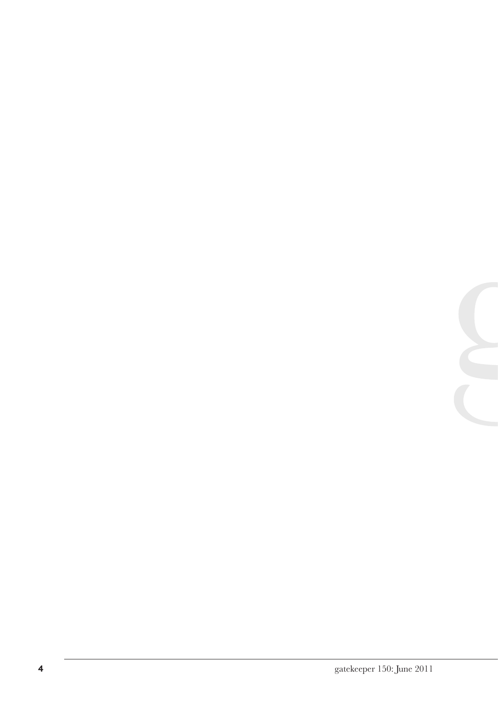**4** gatekeeper 150: June 2011

 $\tilde{\mathbf{r}}$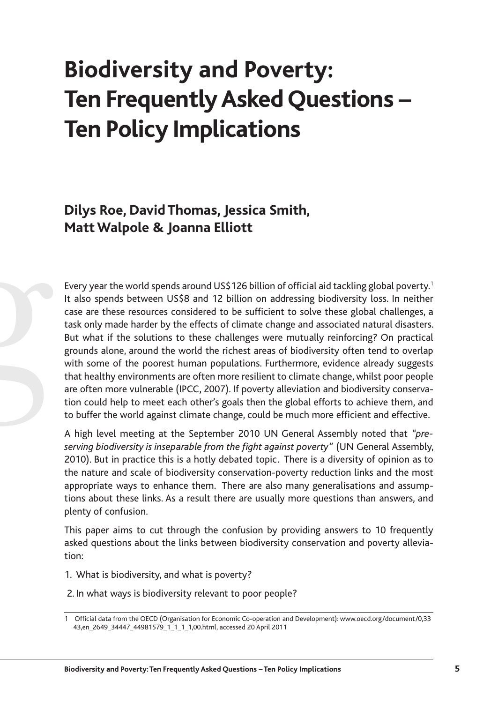# **Biodiversity and Poverty: Ten Frequently Asked Questions – Ten Policy Implications**

## **Dilys Roe, David Thomas, Jessica Smith, Matt Walpole & Joanna Elliott**

Every year the world spends around US\$126 billion of official aid tackling global poverty.<sup>1</sup> It also spends between US\$8 and 12 billion on addressing biodiversity loss. In neither case are these resources considered to be sufficient to solve these global challenges, a task only made harder by the effects of climate change and associated natural disasters. But what if the solutions to these challenges were mutually reinforcing? On practical grounds alone, around the world the richest areas of biodiversity often tend to overlap with some of the poorest human populations. Furthermore, evidence already suggests that healthy environments are often more resilient to climate change, whilst poor people are often more vulnerable (IPCC, 2007). If poverty alleviation and biodiversity conservation could help to meet each other's goals then the global efforts to achieve them, and to buffer the world against climate change, could be much more efficient and effective.

A high level meeting at the September 2010 UN General Assembly noted that *"preserving biodiversity is inseparable from the fight against poverty"* (UN General Assembly, 2010). But in practice this is a hotly debated topic. There is a diversity of opinion as to the nature and scale of biodiversity conservation-poverty reduction links and the most appropriate ways to enhance them. There are also many generalisations and assumptions about these links. As a result there are usually more questions than answers, and plenty of confusion.

This paper aims to cut through the confusion by providing answers to 10 frequently asked questions about the links between biodiversity conservation and poverty alleviation:

- 1. What is biodiversity, and what is poverty?
- 2. In what ways is biodiversity relevant to poor people?

<sup>1</sup> Official data from the OECD (Organisation for Economic Co-operation and Development): www.oecd.org/document/0,33 43,en\_2649\_34447\_44981579\_1\_1\_1\_1,00.html, accessed 20 April 2011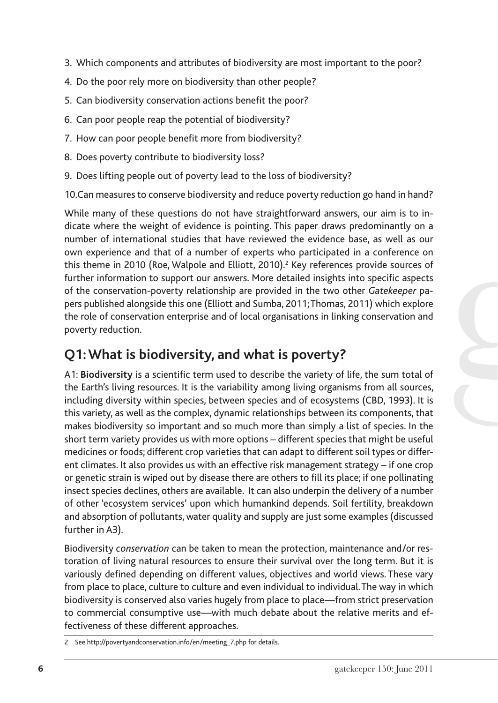- 3. Which components and attributes of biodiversity are most important to the poor?
- 4. Do the poor rely more on biodiversity than other people?
- 5. Can biodiversity conservation actions benefit the poor?
- 6. Can poor people reap the potential of biodiversity?
- 7. How can poor people benefit more from biodiversity?
- 8. Does poverty contribute to biodiversity loss?
- 9. Does lifting people out of poverty lead to the loss of biodiversity?

10.Can measures to conserve biodiversity and reduce poverty reduction go hand in hand?

While many of these questions do not have straightforward answers, our aim is to indicate where the weight of evidence is pointing. This paper draws predominantly on a number of international studies that have reviewed the evidence base, as well as our own experience and that of a number of experts who participated in a conference on this theme in 2010 (Roe, Walpole and Elliott, 2010).<sup>2</sup> Key references provide sources of further information to support our answers. More detailed insights into specific aspects of the conservation-poverty relationship are provided in the two other *Gatekeeper* papers published alongside this one (Elliott and Sumba, 2011; Thomas, 2011) which explore the role of conservation enterprise and of local organisations in linking conservation and poverty reduction.

## **Q1: What is biodiversity, and what is poverty?**

A1: **Biodiversity** is a scientific term used to describe the variety of life, the sum total of the Earth's living resources. It is the variability among living organisms from all sources, including diversity within species, between species and of ecosystems (CBD, 1993). It is this variety, as well as the complex, dynamic relationships between its components, that makes biodiversity so important and so much more than simply a list of species. In the short term variety provides us with more options – different species that might be useful medicines or foods; different crop varieties that can adapt to different soil types or different climates. It also provides us with an effective risk management strategy – if one crop or genetic strain is wiped out by disease there are others to fill its place; if one pollinating insect species declines, others are available. It can also underpin the delivery of a number of other 'ecosystem services' upon which humankind depends. Soil fertility, breakdown and absorption of pollutants, water quality and supply are just some examples (discussed further in A3).

Biodiversity *conservation* can be taken to mean the protection, maintenance and/or restoration of living natural resources to ensure their survival over the long term. But it is variously defined depending on different values, objectives and world views. These vary from place to place, culture to culture and even individual to individual. The way in which biodiversity is conserved also varies hugely from place to place—from strict preservation to commercial consumptive use—with much debate about the relative merits and effectiveness of these different approaches.

<sup>2</sup> See http://povertyandconservation.info/en/meeting\_7.php for details.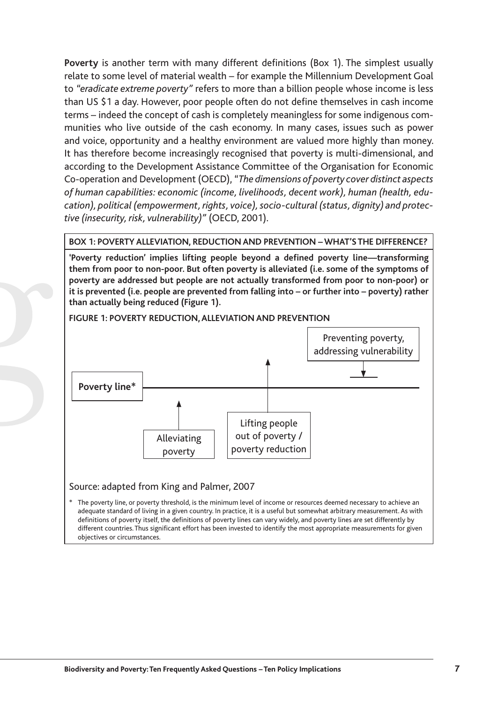**Poverty** is another term with many different definitions (Box 1). The simplest usually relate to some level of material wealth – for example the Millennium Development Goal to *"eradicate extreme poverty"* refers to more than a billion people whose income is less than US \$1 a day. However, poor people often do not define themselves in cash income terms – indeed the concept of cash is completely meaningless for some indigenous communities who live outside of the cash economy. In many cases, issues such as power and voice, opportunity and a healthy environment are valued more highly than money. It has therefore become increasingly recognised that poverty is multi-dimensional, and according to the Development Assistance Committee of the Organisation for Economic Co-operation and Development (OECD), *"The dimensions of poverty cover distinct aspects of human capabilities: economic (income, livelihoods, decent work), human (health, education), political (empowerment, rights, voice), socio-cultural (status, dignity) and protective (insecurity, risk, vulnerability)"* (OECD, 2001).

#### **Box 1: Poverty alleviation, reduction and prevention – what's the difference?**

**'Poverty reduction' implies lifting people beyond a defined poverty line—transforming them from poor to non-poor. But often poverty is alleviated (i.e. some of the symptoms of poverty are addressed but people are not actually transformed from poor to non-poor) or it is prevented (i.e. people are prevented from falling into – or further into – poverty) rather than actually being reduced (Figure 1).**



**Figure 1: Poverty reduction, alleviation and prevention** 

#### Source: adapted from King and Palmer, 2007

\* The poverty line, or poverty threshold, is the minimum level of income or resources deemed necessary to achieve an adequate standard of living in a given country. In practice, it is a useful but somewhat arbitrary measurement. As with definitions of poverty itself, the definitions of poverty lines can vary widely, and poverty lines are set differently by different countries. Thus significant effort has been invested to identify the most appropriate measurements for given objectives or circumstances.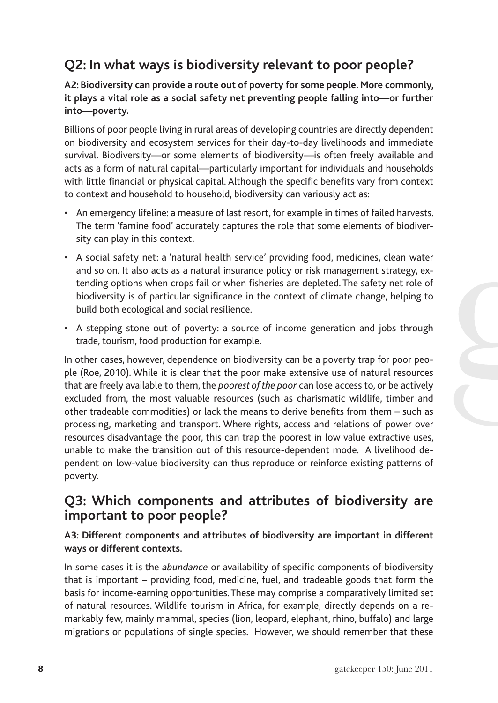# **Q2: In what ways is biodiversity relevant to poor people?**

**A2: Biodiversity can provide a route out of poverty for some people. More commonly, it plays a vital role as a social safety net preventing people falling into—or further into—poverty.** 

Billions of poor people living in rural areas of developing countries are directly dependent on biodiversity and ecosystem services for their day-to-day livelihoods and immediate survival. Biodiversity—or some elements of biodiversity—is often freely available and acts as a form of natural capital—particularly important for individuals and households with little financial or physical capital. Although the specific benefits vary from context to context and household to household, biodiversity can variously act as:

- An emergency lifeline: a measure of last resort, for example in times of failed harvests. The term 'famine food' accurately captures the role that some elements of biodiversity can play in this context.
- A social safety net: a 'natural health service' providing food, medicines, clean water and so on. It also acts as a natural insurance policy or risk management strategy, extending options when crops fail or when fisheries are depleted. The safety net role of biodiversity is of particular significance in the context of climate change, helping to build both ecological and social resilience.
- A stepping stone out of poverty: a source of income generation and jobs through trade, tourism, food production for example.

In other cases, however, dependence on biodiversity can be a poverty trap for poor people (Roe, 2010). While it is clear that the poor make extensive use of natural resources that are freely available to them, the *poorest of the poor* can lose access to, or be actively excluded from, the most valuable resources (such as charismatic wildlife, timber and other tradeable commodities) or lack the means to derive benefits from them – such as processing, marketing and transport. Where rights, access and relations of power over resources disadvantage the poor, this can trap the poorest in low value extractive uses, unable to make the transition out of this resource-dependent mode. A livelihood dependent on low-value biodiversity can thus reproduce or reinforce existing patterns of poverty.

## **Q3: Which components and attributes of biodiversity are important to poor people?**

#### **A3: Different components and attributes of biodiversity are important in different ways or different contexts.**

In some cases it is the *abundance* or availability of specific components of biodiversity that is important – providing food, medicine, fuel, and tradeable goods that form the basis for income-earning opportunities. These may comprise a comparatively limited set of natural resources. Wildlife tourism in Africa, for example, directly depends on a remarkably few, mainly mammal, species (lion, leopard, elephant, rhino, buffalo) and large migrations or populations of single species. However, we should remember that these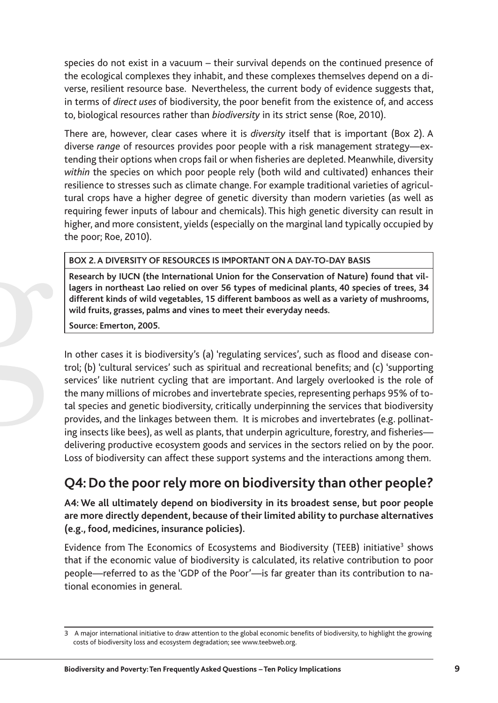species do not exist in a vacuum – their survival depends on the continued presence of the ecological complexes they inhabit, and these complexes themselves depend on a diverse, resilient resource base. Nevertheless, the current body of evidence suggests that, in terms of *direct uses* of biodiversity, the poor benefit from the existence of, and access to, biological resources rather than *biodiversity* in its strict sense (Roe, 2010).

There are, however, clear cases where it is *diversity* itself that is important (Box 2). A diverse *range* of resources provides poor people with a risk management strategy—extending their options when crops fail or when fisheries are depleted. Meanwhile, diversity *within* the species on which poor people rely (both wild and cultivated) enhances their resilience to stresses such as climate change. For example traditional varieties of agricultural crops have a higher degree of genetic diversity than modern varieties (as well as requiring fewer inputs of labour and chemicals). This high genetic diversity can result in higher, and more consistent, yields (especially on the marginal land typically occupied by the poor; Roe, 2010).

#### **Box 2. A diversity of resources is important on a day-to-day basis**

**Research by IUCN (the International Union for the Conservation of Nature) found that villagers in northeast Lao relied on over 56 types of medicinal plants, 40 species of trees, 34 different kinds of wild vegetables, 15 different bamboos as well as a variety of mushrooms, wild fruits, grasses, palms and vines to meet their everyday needs.**

**Source: Emerton, 2005.**

In other cases it is biodiversity's (a) 'regulating services', such as flood and disease control; (b) 'cultural services' such as spiritual and recreational benefits; and (c) 'supporting services' like nutrient cycling that are important. And largely overlooked is the role of the many millions of microbes and invertebrate species, representing perhaps 95% of total species and genetic biodiversity, critically underpinning the services that biodiversity provides, and the linkages between them. It is microbes and invertebrates (e.g. pollinating insects like bees), as well as plants, that underpin agriculture, forestry, and fisheries delivering productive ecosystem goods and services in the sectors relied on by the poor. Loss of biodiversity can affect these support systems and the interactions among them.

## **Q4: Do the poor rely more on biodiversity than other people?**

**A4: We all ultimately depend on biodiversity in its broadest sense, but poor people are more directly dependent, because of their limited ability to purchase alternatives (e.g., food, medicines, insurance policies).** 

Evidence from The Economics of Ecosystems and Biodiversity (TEEB) initiative<sup>3</sup> shows that if the economic value of biodiversity is calculated, its relative contribution to poor people—referred to as the 'GDP of the Poor'—is far greater than its contribution to national economies in general.

<sup>3</sup> A major international initiative to draw attention to the global economic benefits of biodiversity, to highlight the growing costs of biodiversity loss and ecosystem degradation; see www.teebweb.org.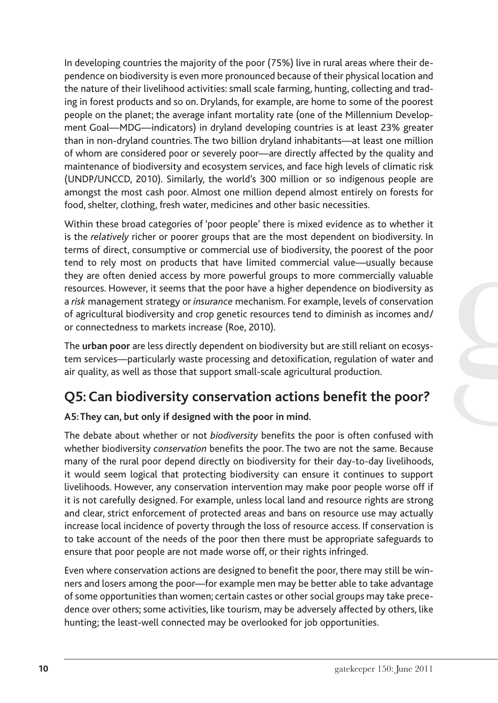In developing countries the majority of the poor (75%) live in rural areas where their dependence on biodiversity is even more pronounced because of their physical location and the nature of their livelihood activities: small scale farming, hunting, collecting and trading in forest products and so on. Drylands, for example, are home to some of the poorest people on the planet; the average infant mortality rate (one of the Millennium Development Goal—MDG—indicators) in dryland developing countries is at least 23% greater than in non-dryland countries. The two billion dryland inhabitants—at least one million of whom are considered poor or severely poor—are directly affected by the quality and maintenance of biodiversity and ecosystem services, and face high levels of climatic risk (UNDP/UNCCD, 2010). Similarly, the world's 300 million or so indigenous people are amongst the most cash poor. Almost one million depend almost entirely on forests for food, shelter, clothing, fresh water, medicines and other basic necessities.

Within these broad categories of 'poor people' there is mixed evidence as to whether it is the *relatively* richer or poorer groups that are the most dependent on biodiversity. In terms of direct, consumptive or commercial use of biodiversity, the poorest of the poor tend to rely most on products that have limited commercial value—usually because they are often denied access by more powerful groups to more commercially valuable resources. However, it seems that the poor have a higher dependence on biodiversity as a *risk* management strategy or *insurance* mechanism. For example, levels of conservation of agricultural biodiversity and crop genetic resources tend to diminish as incomes and/ or connectedness to markets increase (Roe, 2010).

The **urban poor** are less directly dependent on biodiversity but are still reliant on ecosystem services—particularly waste processing and detoxification, regulation of water and air quality, as well as those that support small-scale agricultural production.

# **Q5: Can biodiversity conservation actions benefit the poor?**

#### **A5: They can, but only if designed with the poor in mind.**

The debate about whether or not *biodiversity* benefits the poor is often confused with whether biodiversity *conservation* benefits the poor. The two are not the same. Because many of the rural poor depend directly on biodiversity for their day-to-day livelihoods, it would seem logical that protecting biodiversity can ensure it continues to support livelihoods. However, any conservation intervention may make poor people worse off if it is not carefully designed. For example, unless local land and resource rights are strong and clear, strict enforcement of protected areas and bans on resource use may actually increase local incidence of poverty through the loss of resource access. If conservation is to take account of the needs of the poor then there must be appropriate safeguards to ensure that poor people are not made worse off, or their rights infringed.

Even where conservation actions are designed to benefit the poor, there may still be winners and losers among the poor—for example men may be better able to take advantage of some opportunities than women; certain castes or other social groups may take precedence over others; some activities, like tourism, may be adversely affected by others, like hunting; the least-well connected may be overlooked for job opportunities.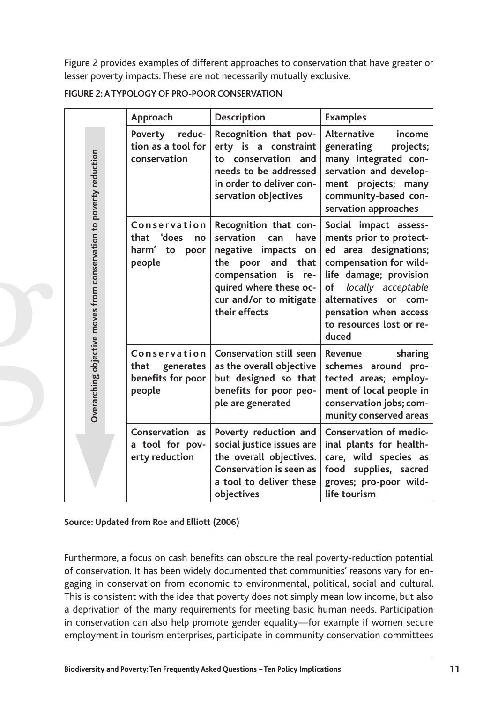Figure 2 provides examples of different approaches to conservation that have greater or lesser poverty impacts. These are not necessarily mutually exclusive.

|                                                                    | Approach                                                             | Description                                                                                                                                                                                           | <b>Examples</b>                                                                                                                                                                                                                                 |
|--------------------------------------------------------------------|----------------------------------------------------------------------|-------------------------------------------------------------------------------------------------------------------------------------------------------------------------------------------------------|-------------------------------------------------------------------------------------------------------------------------------------------------------------------------------------------------------------------------------------------------|
| Overarching objective moves from conservation to poverty reduction | Poverty reduc-<br>tion as a tool for<br>conservation                 | Recognition that pov-<br>erty is a constraint<br>to conservation and<br>needs to be addressed<br>in order to deliver con-<br>servation objectives                                                     | <b>Alternative</b><br>income<br>projects;<br>generating<br>many integrated con-<br>servation and develop-<br>ment projects; many<br>community-based con-<br>servation approaches                                                                |
|                                                                    | Conservation<br>'does<br>that<br>no<br>harm'<br>to<br>poor<br>people | Recognition that con-<br>servation<br>have<br>can<br>negative<br>impacts on<br>and<br>that<br>the<br>poor<br>compensation is re-<br>quired where these oc-<br>cur and/or to mitigate<br>their effects | Social impact assess-<br>ments prior to protect-<br>ed area designations;<br>compensation for wild-<br>life damage; provision<br>locally acceptable<br>of<br>alternatives or com-<br>pensation when access<br>to resources lost or re-<br>duced |
|                                                                    | Conservation<br>that generates<br>benefits for poor<br>people        | <b>Conservation still seen</b><br>as the overall objective<br>but designed so that<br>benefits for poor peo-<br>ple are generated                                                                     | sharing<br>Revenue<br>schemes around pro-<br>tected areas; employ-<br>ment of local people in<br>conservation jobs; com-<br>munity conserved areas                                                                                              |
|                                                                    | Conservation as<br>a tool for pov-<br>erty reduction                 | Poverty reduction and<br>social justice issues are<br>the overall objectives.<br><b>Conservation is seen as</b><br>a tool to deliver these<br>objectives                                              | Conservation of medic-<br>inal plants for health-<br>care, wild species as<br>food supplies, sacred<br>groves; pro-poor wild-<br>life tourism                                                                                                   |

**Figure 2: A typology of pro-poor conservation** 

**Source: Updated from Roe and Elliott (2006)**

Furthermore, a focus on cash benefits can obscure the real poverty-reduction potential of conservation. It has been widely documented that communities' reasons vary for engaging in conservation from economic to environmental, political, social and cultural. This is consistent with the idea that poverty does not simply mean low income, but also a deprivation of the many requirements for meeting basic human needs. Participation in conservation can also help promote gender equality—for example if women secure employment in tourism enterprises, participate in community conservation committees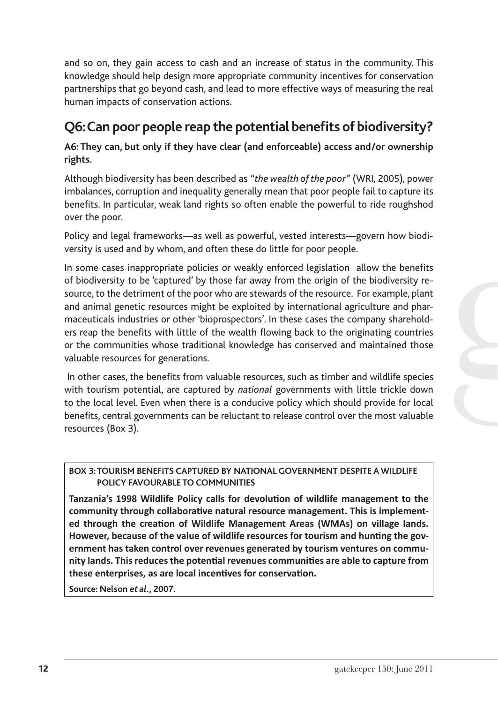and so on, they gain access to cash and an increase of status in the community. This knowledge should help design more appropriate community incentives for conservation partnerships that go beyond cash, and lead to more effective ways of measuring the real human impacts of conservation actions.

# **Q6: Can poor people reap the potential benefits of biodiversity?**

#### **A6: They can, but only if they have clear (and enforceable) access and/or ownership rights.**

Although biodiversity has been described as *"the wealth of the poor"* (WRI, 2005), power imbalances, corruption and inequality generally mean that poor people fail to capture its benefits. In particular, weak land rights so often enable the powerful to ride roughshod over the poor.

Policy and legal frameworks—as well as powerful, vested interests—govern how biodiversity is used and by whom, and often these do little for poor people.

In some cases inappropriate policies or weakly enforced legislation allow the benefits of biodiversity to be 'captured' by those far away from the origin of the biodiversity resource, to the detriment of the poor who are stewards of the resource. For example, plant and animal genetic resources might be exploited by international agriculture and pharmaceuticals industries or other 'bioprospectors'. In these cases the company shareholders reap the benefits with little of the wealth flowing back to the originating countries or the communities whose traditional knowledge has conserved and maintained those valuable resources for generations.

 In other cases, the benefits from valuable resources, such as timber and wildlife species with tourism potential, are captured by *national* governments with little trickle down to the local level. Even when there is a conducive policy which should provide for local benefits, central governments can be reluctant to release control over the most valuable resources (Box 3).

#### **Box 3: Tourism benefits captured by national government despite a wildlife policy favourable to communities**

**Tanzania's 1998 Wildlife Policy calls for devolution of wildlife management to the community through collaborative natural resource management. This is implemented through the creation of Wildlife Management Areas (WMAs) on village lands. However, because of the value of wildlife resources for tourism and hunting the government has taken control over revenues generated by tourism ventures on community lands. This reduces the potential revenues communities are able to capture from these enterprises, as are local incentives for conservation.** 

**Source: Nelson** *et al.***, 2007.**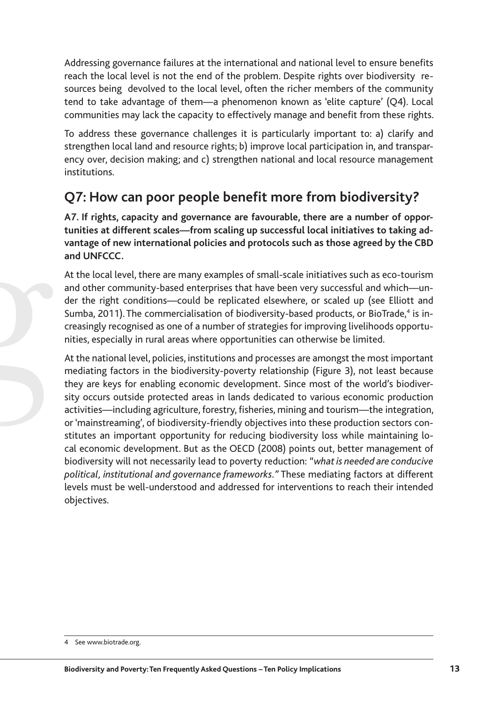Addressing governance failures at the international and national level to ensure benefits reach the local level is not the end of the problem. Despite rights over biodiversity resources being devolved to the local level, often the richer members of the community tend to take advantage of them—a phenomenon known as 'elite capture' (Q4). Local communities may lack the capacity to effectively manage and benefit from these rights.

To address these governance challenges it is particularly important to: a) clarify and strengthen local land and resource rights; b) improve local participation in, and transparency over, decision making; and c) strengthen national and local resource management institutions.

## **Q7: How can poor people benefit more from biodiversity?**

**A7. If rights, capacity and governance are favourable, there are a number of opportunities at different scales—from scaling up successful local initiatives to taking advantage of new international policies and protocols such as those agreed by the CBD and UNFCCC.** 

At the local level, there are many examples of small-scale initiatives such as eco-tourism and other community-based enterprises that have been very successful and which—under the right conditions—could be replicated elsewhere, or scaled up (see Elliott and Sumba, 2011). The commercialisation of biodiversity-based products, or BioTrade,<sup>4</sup> is increasingly recognised as one of a number of strategies for improving livelihoods opportunities, especially in rural areas where opportunities can otherwise be limited.

At the national level, policies, institutions and processes are amongst the most important mediating factors in the biodiversity-poverty relationship (Figure 3), not least because they are keys for enabling economic development. Since most of the world's biodiversity occurs outside protected areas in lands dedicated to various economic production activities—including agriculture, forestry, fisheries, mining and tourism—the integration, or 'mainstreaming', of biodiversity-friendly objectives into these production sectors constitutes an important opportunity for reducing biodiversity loss while maintaining local economic development. But as the OECD (2008) points out, better management of biodiversity will not necessarily lead to poverty reduction: *"what is needed are conducive political, institutional and governance frameworks."* These mediating factors at different levels must be well-understood and addressed for interventions to reach their intended objectives.

<sup>4</sup> See www.biotrade.org.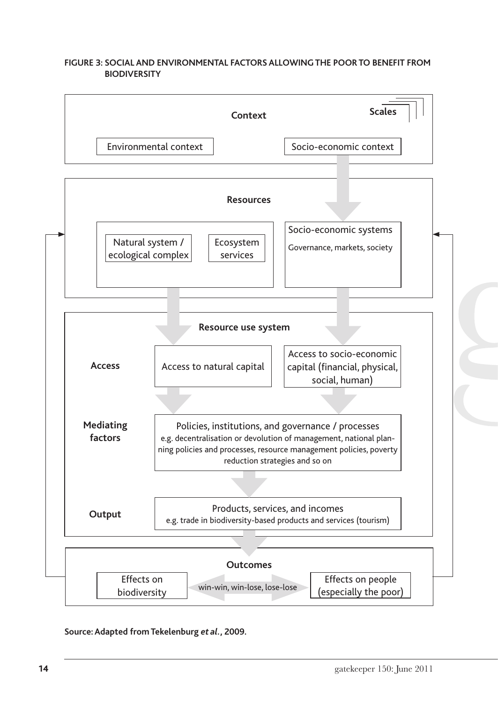#### **Figure 3: Social and environmental factors allowing the poor to benefit from biodiversity**



**Source: Adapted from Tekelenburg** *et al.***, 2009.**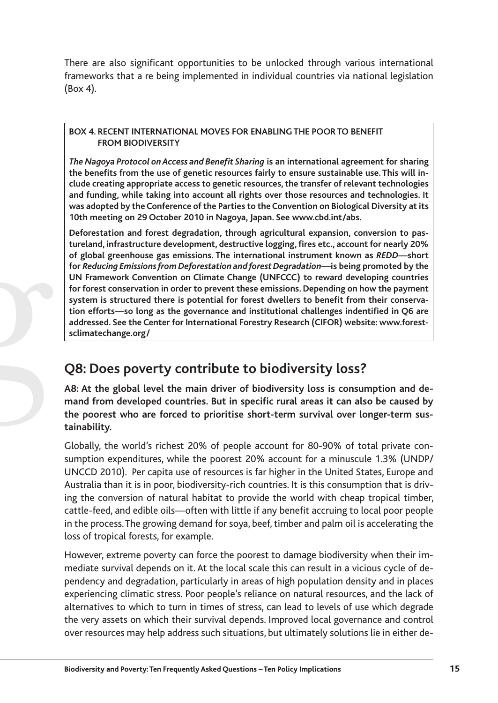There are also significant opportunities to be unlocked through various international frameworks that a re being implemented in individual countries via national legislation (Box 4).

#### **Box 4. Recent international moves for enabling the poor to benefit from biodiversity**

*The Nagoya Protocol on Access and Benefit Sharing* **is an international agreement for sharing the benefits from the use of genetic resources fairly to ensure sustainable use. This will include creating appropriate access to genetic resources, the transfer of relevant technologies and funding, while taking into account all rights over those resources and technologies. It was adopted by the Conference of the Parties to the Convention on Biological Diversity at its 10th meeting on 29 October 2010 in Nagoya, Japan. See www.cbd.int/abs.**

**Deforestation and forest degradation, through agricultural expansion, conversion to pastureland, infrastructure development, destructive logging, fires etc., account for nearly 20% of global greenhouse gas emissions. The international instrument known as** *REDD***—short for** *Reducing Emissions from Deforestation and forest Degradation***—is being promoted by the UN Framework Convention on Climate Change (UNFCCC) to reward developing countries for forest conservation in order to prevent these emissions. Depending on how the payment system is structured there is potential for forest dwellers to benefit from their conservation efforts—so long as the governance and institutional challenges indentified in Q6 are addressed. See the Center for International Forestry Research (CIFOR) website: www.forestsclimatechange.org/** 

## **Q8: Does poverty contribute to biodiversity loss?**

**A8: At the global level the main driver of biodiversity loss is consumption and demand from developed countries. But in specific rural areas it can also be caused by the poorest who are forced to prioritise short-term survival over longer-term sustainability.**

Globally, the world's richest 20% of people account for 80-90% of total private consumption expenditures, while the poorest 20% account for a minuscule 1.3% (UNDP/ UNCCD 2010). Per capita use of resources is far higher in the United States, Europe and Australia than it is in poor, biodiversity-rich countries. It is this consumption that is driving the conversion of natural habitat to provide the world with cheap tropical timber, cattle-feed, and edible oils—often with little if any benefit accruing to local poor people in the process. The growing demand for soya, beef, timber and palm oil is accelerating the loss of tropical forests, for example.

However, extreme poverty can force the poorest to damage biodiversity when their immediate survival depends on it. At the local scale this can result in a vicious cycle of dependency and degradation, particularly in areas of high population density and in places experiencing climatic stress. Poor people's reliance on natural resources, and the lack of alternatives to which to turn in times of stress, can lead to levels of use which degrade the very assets on which their survival depends. Improved local governance and control over resources may help address such situations, but ultimately solutions lie in either de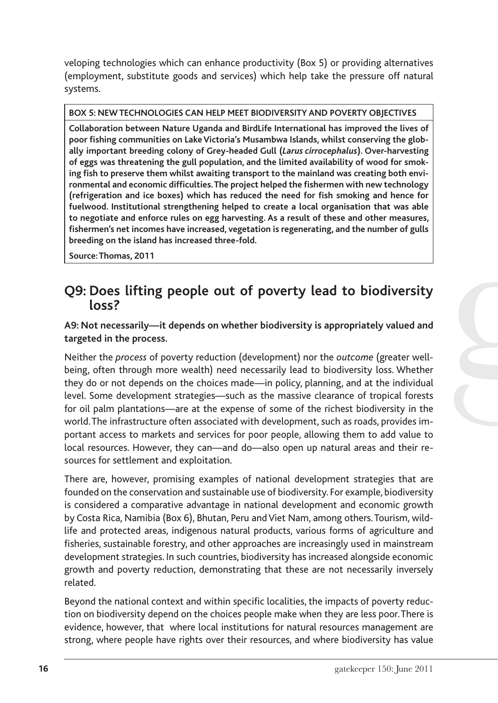veloping technologies which can enhance productivity (Box 5) or providing alternatives (employment, substitute goods and services) which help take the pressure off natural systems.

#### **Box 5: New technologies can help meet biodiversity and poverty objectives**

**Collaboration between Nature Uganda and BirdLife International has improved the lives of poor fishing communities on Lake Victoria's Musambwa Islands, whilst conserving the globally important breeding colony of Grey-headed Gull (***Larus cirrocephalus***). Over-harvesting of eggs was threatening the gull population, and the limited availability of wood for smoking fish to preserve them whilst awaiting transport to the mainland was creating both environmental and economic difficulties. The project helped the fishermen with new technology (refrigeration and ice boxes) which has reduced the need for fish smoking and hence for fuelwood. Institutional strengthening helped to create a local organisation that was able to negotiate and enforce rules on egg harvesting. As a result of these and other measures, fishermen's net incomes have increased, vegetation is regenerating, and the number of gulls breeding on the island has increased three-fold.** 

**Source: Thomas, 2011**

### **Q9: Does lifting people out of poverty lead to biodiversity loss?**

#### **A9: Not necessarily—it depends on whether biodiversity is appropriately valued and targeted in the process.**

Neither the *process* of poverty reduction (development) nor the *outcome* (greater wellbeing, often through more wealth) need necessarily lead to biodiversity loss. Whether they do or not depends on the choices made—in policy, planning, and at the individual level. Some development strategies—such as the massive clearance of tropical forests for oil palm plantations—are at the expense of some of the richest biodiversity in the world. The infrastructure often associated with development, such as roads, provides important access to markets and services for poor people, allowing them to add value to local resources. However, they can—and do—also open up natural areas and their resources for settlement and exploitation.

There are, however, promising examples of national development strategies that are founded on the conservation and sustainable use of biodiversity. For example, biodiversity is considered a comparative advantage in national development and economic growth by Costa Rica, Namibia (Box 6), Bhutan, Peru and Viet Nam, among others. Tourism, wildlife and protected areas, indigenous natural products, various forms of agriculture and fisheries, sustainable forestry, and other approaches are increasingly used in mainstream development strategies. In such countries, biodiversity has increased alongside economic growth and poverty reduction, demonstrating that these are not necessarily inversely related.

Beyond the national context and within specific localities, the impacts of poverty reduction on biodiversity depend on the choices people make when they are less poor. There is evidence, however, that where local institutions for natural resources management are strong, where people have rights over their resources, and where biodiversity has value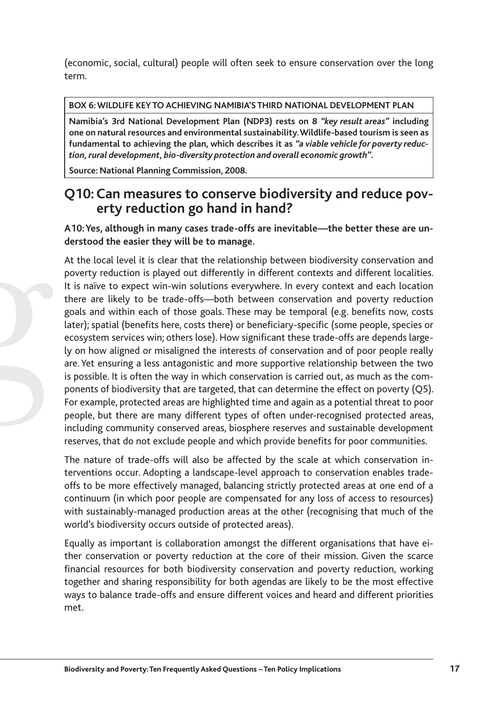(economic, social, cultural) people will often seek to ensure conservation over the long term.

**Box 6: Wildlife key to achieving Namibia's Third National Development Plan** 

**Namibia's 3rd National Development Plan (NDP3) rests on 8** *"key result areas"* **including one on natural resources and environmental sustainability. Wildlife-based tourism is seen as fundamental to achieving the plan, which describes it as** *"a viable vehicle for poverty reduction, rural development, bio-diversity protection and overall economic growth"***.** 

**Source: National Planning Commission, 2008.**

# **Q10: Can measures to conserve biodiversity and reduce pov- erty reduction go hand in hand?**

**A10: Yes, although in many cases trade-offs are inevitable—the better these are understood the easier they will be to manage.**

At the local level it is clear that the relationship between biodiversity conservation and poverty reduction is played out differently in different contexts and different localities. It is naïve to expect win-win solutions everywhere. In every context and each location there are likely to be trade-offs—both between conservation and poverty reduction goals and within each of those goals. These may be temporal (e.g. benefits now, costs later); spatial (benefits here, costs there) or beneficiary-specific (some people, species or ecosystem services win; others lose). How significant these trade-offs are depends largely on how aligned or misaligned the interests of conservation and of poor people really are. Yet ensuring a less antagonistic and more supportive relationship between the two is possible. It is often the way in which conservation is carried out, as much as the components of biodiversity that are targeted, that can determine the effect on poverty (Q5). For example, protected areas are highlighted time and again as a potential threat to poor people, but there are many different types of often under-recognised protected areas, including community conserved areas, biosphere reserves and sustainable development reserves, that do not exclude people and which provide benefits for poor communities.

The nature of trade-offs will also be affected by the scale at which conservation interventions occur. Adopting a landscape-level approach to conservation enables tradeoffs to be more effectively managed, balancing strictly protected areas at one end of a continuum (in which poor people are compensated for any loss of access to resources) with sustainably-managed production areas at the other (recognising that much of the world's biodiversity occurs outside of protected areas).

Equally as important is collaboration amongst the different organisations that have either conservation or poverty reduction at the core of their mission. Given the scarce financial resources for both biodiversity conservation and poverty reduction, working together and sharing responsibility for both agendas are likely to be the most effective ways to balance trade-offs and ensure different voices and heard and different priorities met.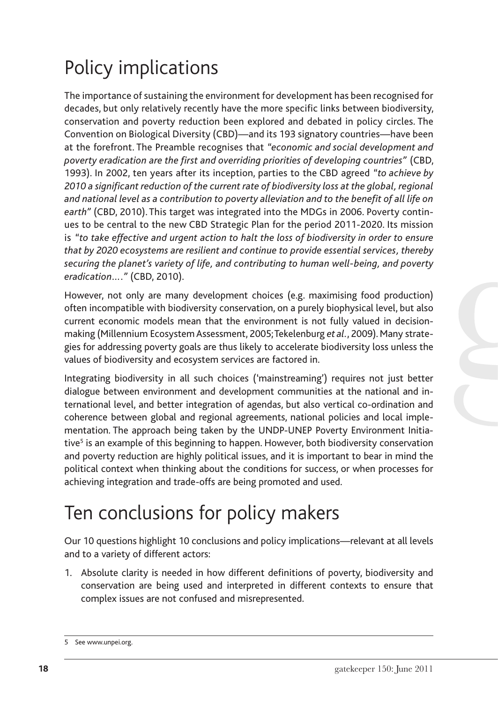# Policy implications

The importance of sustaining the environment for development has been recognised for decades, but only relatively recently have the more specific links between biodiversity, conservation and poverty reduction been explored and debated in policy circles. The Convention on Biological Diversity (CBD)—and its 193 signatory countries—have been at the forefront. The Preamble recognises that *"economic and social development and poverty eradication are the first and overriding priorities of developing countries"* (CBD, 1993). In 2002, ten years after its inception, parties to the CBD agreed *"to achieve by 2010 a significant reduction of the current rate of biodiversity loss at the global, regional and national level as a contribution to poverty alleviation and to the benefit of all life on earth"* (CBD, 2010). This target was integrated into the MDGs in 2006. Poverty continues to be central to the new CBD Strategic Plan for the period 2011-2020. Its mission is *"to take effective and urgent action to halt the loss of biodiversity in order to ensure that by 2020 ecosystems are resilient and continue to provide essential services, thereby securing the planet's variety of life, and contributing to human well-being, and poverty eradication…."* (CBD, 2010).

However, not only are many development choices (e.g. maximising food production) often incompatible with biodiversity conservation, on a purely biophysical level, but also current economic models mean that the environment is not fully valued in decisionmaking (Millennium Ecosystem Assessment, 2005; Tekelenburg *et al.*, 2009). Many strategies for addressing poverty goals are thus likely to accelerate biodiversity loss unless the values of biodiversity and ecosystem services are factored in.

Integrating biodiversity in all such choices ('mainstreaming') requires not just better dialogue between environment and development communities at the national and international level, and better integration of agendas, but also vertical co-ordination and coherence between global and regional agreements, national policies and local implementation. The approach being taken by the UNDP-UNEP Poverty Environment Initiative<sup>5</sup> is an example of this beginning to happen. However, both biodiversity conservation and poverty reduction are highly political issues, and it is important to bear in mind the political context when thinking about the conditions for success, or when processes for achieving integration and trade-offs are being promoted and used.

# Ten conclusions for policy makers

Our 10 questions highlight 10 conclusions and policy implications—relevant at all levels and to a variety of different actors:

1. Absolute clarity is needed in how different definitions of poverty, biodiversity and conservation are being used and interpreted in different contexts to ensure that complex issues are not confused and misrepresented.

<sup>5</sup> See www.unpei.org.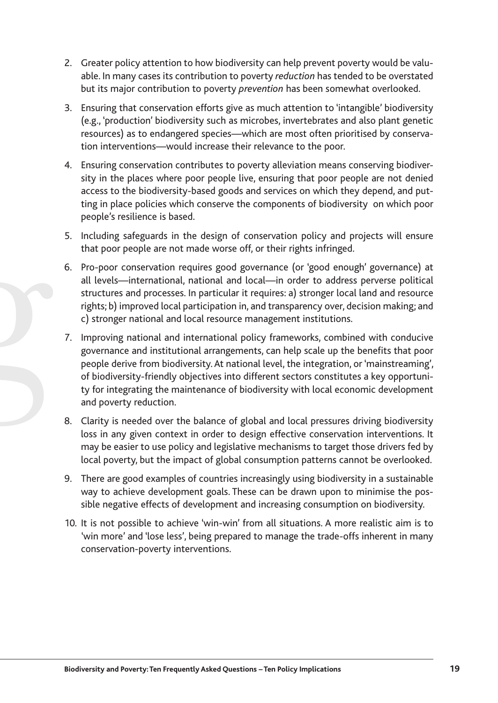- 2. Greater policy attention to how biodiversity can help prevent poverty would be valuable. In many cases its contribution to poverty *reduction* has tended to be overstated but its major contribution to poverty *prevention* has been somewhat overlooked.
- 3. Ensuring that conservation efforts give as much attention to 'intangible' biodiversity (e.g., 'production' biodiversity such as microbes, invertebrates and also plant genetic resources) as to endangered species—which are most often prioritised by conservation interventions—would increase their relevance to the poor.
- 4. Ensuring conservation contributes to poverty alleviation means conserving biodiversity in the places where poor people live, ensuring that poor people are not denied access to the biodiversity-based goods and services on which they depend, and putting in place policies which conserve the components of biodiversity on which poor people's resilience is based.
- 5. Including safeguards in the design of conservation policy and projects will ensure that poor people are not made worse off, or their rights infringed.
- 6. Pro-poor conservation requires good governance (or 'good enough' governance) at all levels—international, national and local—in order to address perverse political structures and processes. In particular it requires: a) stronger local land and resource rights; b) improved local participation in, and transparency over, decision making; and c) stronger national and local resource management institutions.
- 7. Improving national and international policy frameworks, combined with conducive governance and institutional arrangements, can help scale up the benefits that poor people derive from biodiversity. At national level, the integration, or 'mainstreaming', of biodiversity-friendly objectives into different sectors constitutes a key opportunity for integrating the maintenance of biodiversity with local economic development and poverty reduction.
- 8. Clarity is needed over the balance of global and local pressures driving biodiversity loss in any given context in order to design effective conservation interventions. It may be easier to use policy and legislative mechanisms to target those drivers fed by local poverty, but the impact of global consumption patterns cannot be overlooked.
- 9. There are good examples of countries increasingly using biodiversity in a sustainable way to achieve development goals. These can be drawn upon to minimise the possible negative effects of development and increasing consumption on biodiversity.
- 10. It is not possible to achieve 'win-win' from all situations. A more realistic aim is to 'win more' and 'lose less', being prepared to manage the trade-offs inherent in many conservation-poverty interventions.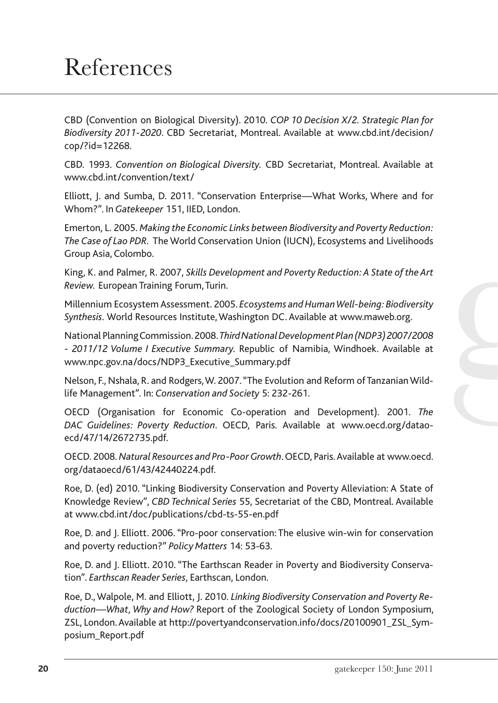# References

CBD (Convention on Biological Diversity). 2010. *COP 10 Decision X/2. Strategic Plan for Biodiversity 2011-2020*. CBD Secretariat, Montreal. Available at www.cbd.int/decision/ cop/?id=12268.

CBD. 1993. *Convention on Biological Diversity.* CBD Secretariat, Montreal. Available at www.cbd.int/convention/text/

Elliott, J. and Sumba, D. 2011. "Conservation Enterprise—What Works, Where and for Whom?". In *Gatekeeper* 151, IIED, London.

Emerton, L. 2005. *Making the Economic Links between Biodiversity and Poverty Reduction: The Case of Lao PDR.* The World Conservation Union (IUCN), Ecosystems and Livelihoods Group Asia, Colombo.

King, K. and Palmer, R. 2007, *Skills Development and Poverty Reduction: A State of the Art Review.* European Training Forum, Turin.

Millennium Ecosystem Assessment. 2005. *Ecosystems and Human Well-being: Biodiversity Synthesis.* World Resources Institute, Washington DC. Available at www.maweb.org.

National Planning Commission. 2008. *Third National Development Plan (NDP3) 2007/2008 - 2011/12 Volume I Executive Summary.* Republic of Namibia, Windhoek. Available at www.npc.gov.na/docs/NDP3\_Executive\_Summary.pdf

Nelson, F., Nshala, R. and Rodgers, W. 2007. "The Evolution and Reform of Tanzanian Wildlife Management". In: *Conservation and Society* 5: 232-261.

OECD (Organisation for Economic Co-operation and Development). 2001. *The DAC Guidelines: Poverty Reduction*. OECD, Paris. Available at www.oecd.org/dataoecd/47/14/2672735.pdf.

OECD. 2008. *Natural Resources and Pro-Poor Growth*. OECD, Paris. Available at www.oecd. org/dataoecd/61/43/42440224.pdf.

Roe, D. (ed) 2010. "Linking Biodiversity Conservation and Poverty Alleviation: A State of Knowledge Review", *CBD Technical Series* 55, Secretariat of the CBD, Montreal. Available at www.cbd.int/doc/publications/cbd-ts-55-en.pdf

Roe, D. and J. Elliott. 2006. "Pro-poor conservation: The elusive win-win for conservation and poverty reduction?" *Policy Matters* 14: 53-63.

Roe, D. and J. Elliott. 2010. "The Earthscan Reader in Poverty and Biodiversity Conservation". *Earthscan Reader Series*, Earthscan, London.

Roe, D., Walpole, M. and Elliott, J. 2010. *Linking Biodiversity Conservation and Poverty Reduction—What, Why and How?* Report of the Zoological Society of London Symposium, ZSL, London. Available at http://povertyandconservation.info/docs/20100901\_ZSL\_Symposium\_Report.pdf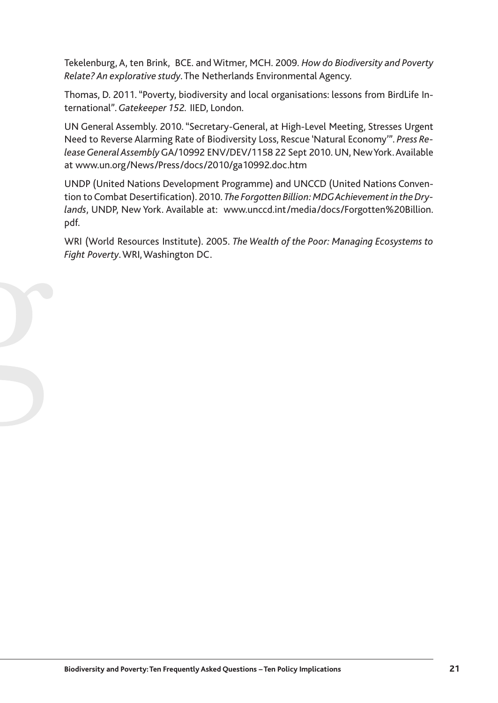Tekelenburg, A, ten Brink, BCE. and Witmer, MCH. 2009. *How do Biodiversity and Poverty Relate? An explorative study*. The Netherlands Environmental Agency.

Thomas, D. 2011. "Poverty, biodiversity and local organisations: lessons from BirdLife International". *Gatekeeper 152.* IIED, London.

UN General Assembly. 2010. "Secretary-General, at High-Level Meeting, Stresses Urgent Need to Reverse Alarming Rate of Biodiversity Loss, Rescue 'Natural Economy'". *Press Release General Assembly* GA/10992 ENV/DEV/1158 22 Sept 2010. UN, New York. Available at www.un.org/News/Press/docs/2010/ga10992.doc.htm

UNDP (United Nations Development Programme) and UNCCD (United Nations Convention to Combat Desertification). 2010. *The Forgotten Billion: MDG Achievement in the Drylands*, UNDP, New York. Available at: www.unccd.int/media/docs/Forgotten%20Billion. pdf.

WRI (World Resources Institute). 2005. *The Wealth of the Poor: Managing Ecosystems to Fight Poverty*. WRI, Washington DC.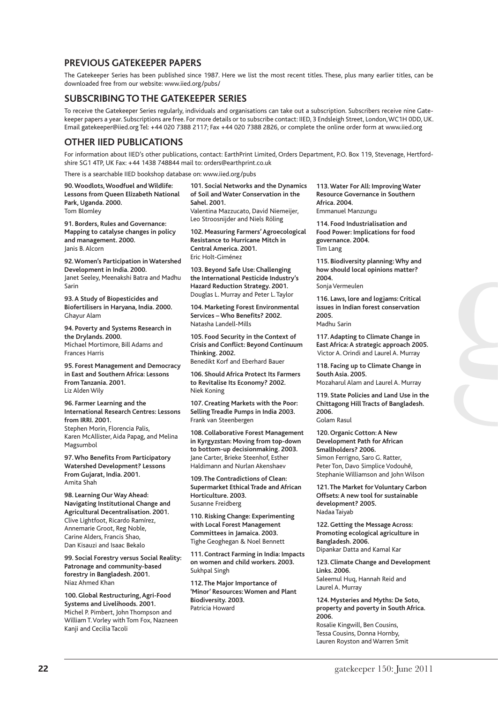#### **PREVIOUS GATEKEEPER PAPERS**

The Gatekeeper Series has been published since 1987. Here we list the most recent titles. These, plus many earlier titles, can be downloaded free from our website: www.iied.org/pubs/

#### **SUBSCRIBINGTO THE GATEKEEPER SERIES**

To receive the Gatekeeper Series regularly, individuals and organisations can take out a subscription. Subscribers receive nine Gatekeeper papers a year. Subscriptions are free. For more details or to subscribe contact: IIED, 3 Endsleigh Street, London, WC1H 0DD, UK. Email gatekeeper@iied.org Tel: +44 020 7388 2117; Fax +44 020 7388 2826, or complete the online order form at www.iied.org

#### **OTHER IIED PUBLICATIONS**

For information about IIED's other publications, contact: EarthPrint Limited, Orders Department, P.O. Box 119, Stevenage, Hertfordshire SG1 4TP, UK Fax: +44 1438 748844 mail to: orders@earthprint.co.uk

There is a searchable IIED bookshop database on: www.iied.org/pubs

**90. Woodlots, Woodfuel and Wildlife: Lessons from Queen Elizabeth National Park, Uganda. 2000.**  Tom Blomley

**91. Borders, Rules and Governance: Mapping to catalyse changes in policy and management. 2000.**  Janis B. Alcorn

**92. Women's Participation in Watershed Development in India. 2000.**  Janet Seeley, Meenakshi Batra and Madhu Sarin

**93. A Study of Biopesticides and Biofertilisers in Haryana, India. 2000.**  Ghayur Alam

**94. Poverty and Systems Research in the Drylands. 2000.**  Michael Mortimore, Bill Adams and Frances Harris

**95. Forest Management and Democracy in East and Southern Africa: Lessons From Tanzania. 2001.**  Liz Alden Wily

**96. Farmer Learning and the International Research Centres: Lessons from IRRI. 2001.**  Stephen Morin, Florencia Palis, Karen McAllister, Aida Papag, and Melina Magsumbol

**97. Who Benefits From Participatory Watershed Development? Lessons From Gujarat, India. 2001.**  Amita Shah

**98. Learning Our Way Ahead: Navigating Institutional Change and Agricultural Decentralisation. 2001.**  Clive Lightfoot, Ricardo Ramírez, Annemarie Groot, Reg Noble, Carine Alders, Francis Shao, Dan Kisauzi and Isaac Bekalo

**99. Social Forestry versus Social Reality: Patronage and community-based forestry in Bangladesh. 2001.**  Niaz Ahmed Khan

**100. Global Restructuring, Agri-Food Systems and Livelihoods. 2001.**  Michel P. Pimbert, John Thompson and William T. Vorley with Tom Fox, Nazneen Kanji and Cecilia Tacoli

**101. Social Networks and the Dynamics of Soil and Water Conservation in the Sahel. 2001.**  Valentina Mazzucato, David Niemeijer, Leo Stroosnijder and Niels Röling

**102. Measuring Farmers' Agroecological Resistance to Hurricane Mitch in Central America. 2001.**  Eric Holt-Giménez

**103. Beyond Safe Use: Challenging the International Pesticide Industry's Hazard Reduction Strategy. 2001.**  Douglas L. Murray and Peter L. Taylor

**104. Marketing Forest Environmental Services – Who Benefits? 2002.**  Natasha Landell-Mills

**105. Food Security in the Context of Crisis and Conflict: Beyond Continuum Thinking. 2002.**  Benedikt Korf and Eberhard Bauer

**106. Should Africa Protect Its Farmers to Revitalise Its Economy? 2002.**  Niek Koning

**107. Creating Markets with the Poor: Selling Treadle Pumps in India 2003.**  Frank van Steenbergen

**108. Collaborative Forest Management in Kyrgyzstan: Moving from top-down to bottom-up decisionmaking. 2003.**  Jane Carter, Brieke Steenhof, Esther Haldimann and Nurlan Akenshaev

**109. The Contradictions of Clean: Supermarket Ethical Trade and African Horticulture. 2003.**  Susanne Freidberg

**110. Risking Change: Experimenting with Local Forest Management Committees in Jamaica. 2003.**  Tighe Geoghegan & Noel Bennett

**111. Contract Farming in India: Impacts on women and child workers. 2003.**  Sukhpal Singh

**112. The Major Importance of 'Minor' Resources: Women and Plant Biodiversity. 2003.**  Patricia Howard

**113. Water For All: Improving Water Resource Governance in Southern Africa. 2004.**  Emmanuel Manzungu

**114. Food Industrialisation and Food Power: Implications for food governance. 2004.**  Tim Lang

**115. Biodiversity planning: Why and how should local opinions matter? 2004.** 

Sonja Vermeulen

**116. Laws, lore and logjams: Critical issues in Indian forest conservation 2005.**  Madhu Sarin

**117. Adapting to Climate Change in East Africa: A strategic approach 2005.** Victor A. Orindi and Laurel A. Murray

**118. Facing up to Climate Change in South Asia. 2005.**  Mozaharul Alam and Laurel A. Murray

**119. State Policies and Land Use in the Chittagong Hill Tracts of Bangladesh. 2006.** 

Golam Rasul

**120. Organic Cotton: A New Development Path for African Smallholders? 2006.**  Simon Ferrigno, Saro G. Ratter, Peter Ton, Davo Simplice Vodouhê, Stephanie Williamson and John Wilson

**121. The Market for Voluntary Carbon Offsets: A new tool for sustainable development? 2005.**  Nadaa Taiyab

**122. Getting the Message Across: Promoting ecological agriculture in Bangladesh. 2006.**  Dipankar Datta and Kamal Kar

**123. Climate Change and Development Links. 2006.**  Saleemul Huq, Hannah Reid and Laurel A. Murray

**124. Mysteries and Myths: De Soto, property and poverty in South Africa. 2006.**  Rosalie Kingwill, Ben Cousins,

Tessa Cousins, Donna Hornby, Lauren Royston and Warren Smit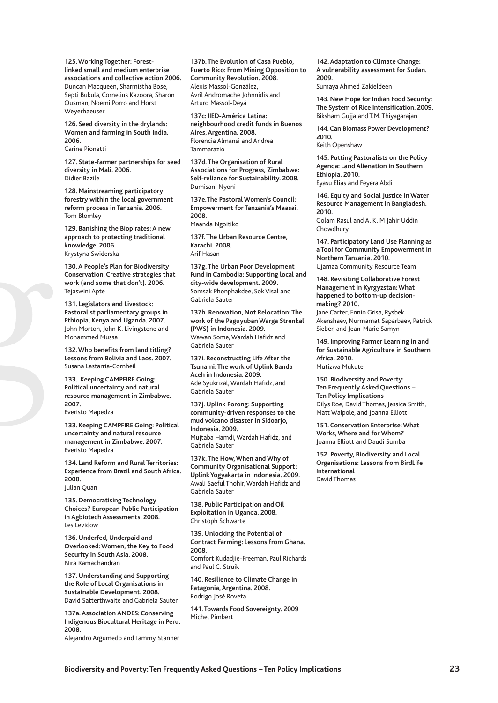**125. Working Together: Forestlinked small and medium enterprise associations and collective action 2006.**  Duncan Macqueen, Sharmistha Bose, Septi Bukula, Cornelius Kazoora, Sharon Ousman, Noemi Porro and Horst Weyerhaeuser

**126. Seed diversity in the drylands: Women and farming in South India. 2006.** 

Carine Pionetti

**127. State-farmer partnerships for seed diversity in Mali. 2006.**  Didier Bazile

**128. Mainstreaming participatory forestry within the local government reform process in Tanzania. 2006.**  Tom Blomley

**129. Banishing the Biopirates: A new approach to protecting traditional knowledge. 2006.**  Krystyna Swiderska

**130. A People's Plan for Biodiversity Conservation: Creative strategies that work (and some that don't). 2006.**  Tejaswini Apte

**131. Legislators and Livestock: Pastoralist parliamentary groups in Ethiopia, Kenya and Uganda. 2007.**  John Morton, John K. Livingstone and Mohammed Mussa

**132. Who benefits from land titling? Lessons from Bolivia and Laos. 2007.**  Susana Lastarria-Cornheil

**133. Keeping CAMPFIRE Going: Political uncertainty and natural resource management in Zimbabwe. 2007.**

Everisto Mapedza

**133. Keeping CAMPFIRE Going: Political uncertainty and natural resource management in Zimbabwe. 2007.** Everisto Mapedza

**134. Land Reform and Rural Territories: Experience from Brazil and South Africa. 2008.**

Julian Quan

**135. Democratising Technology Choices? European Public Participation in Agbiotech Assessments. 2008.** Les Levidow

**136. Underfed, Underpaid and Overlooked: Women, the Key to Food Security in South Asia. 2008.** Nira Ramachandran

**137. Understanding and Supporting the Role of Local Organisations in Sustainable Development. 2008.** David Satterthwaite and Gabriela Sauter

**137a. Association ANDES: Conserving Indigenous Biocultural Heritage in Peru. 2008.**

Alejandro Argumedo and Tammy Stanner

**137b. The Evolution of Casa Pueblo, Puerto Rico: From Mining Opposition to Community Revolution. 2008.** Alexis Massol-González, Avril Andromache Johnnidis and Arturo Massol-Deyá

**137c: IIED-América Latina: neighbourhood credit funds in Buenos Aires, Argentina. 2008.** Florencia Almansi and Andrea Tammarazio

**137d. The Organisation of Rural Associations for Progress, Zimbabwe: Self-reliance for Sustainability. 2008.** Dumisani Nyoni

**137e.The Pastoral Women's Council: Empowerment for Tanzania's Maasai. 2008.**

Maanda Ngoitiko

**137f. The Urban Resource Centre, Karachi. 2008.** Arif Hasan

**137g. The Urban Poor Development Fund in Cambodia: Supporting local and city-wide development. 2009.** Somsak Phonphakdee, Sok Visal and Gabriela Sauter

**137h. Renovation, Not Relocation: The work of the Paguyuban Warga Strenkali (PWS) in Indonesia. 2009.** Wawan Some, Wardah Hafidz and Gabriela Sauter

**137i. Reconstructing Life After the Tsunami: The work of Uplink Banda Aceh in Indonesia. 2009.** Ade Syukrizal, Wardah Hafidz, and Gabriela Sauter

**137j. Uplink Porong: Supporting community-driven responses to the mud volcano disaster in Sidoarjo, Indonesia. 2009.** Mujtaba Hamdi, Wardah Hafidz, and Gabriela Sauter

**137k. The How, When and Why of Community Organisational Support: Uplink Yogyakarta in Indonesia. 2009.** Awali Saeful Thohir, Wardah Hafidz and Gabriela Sauter

**138. Public Participation and Oil Exploitation in Uganda. 2008.** Christoph Schwarte

**139. Unlocking the Potential of Contract Farming: Lessons from Ghana. 2008.** Comfort Kudadjie-Freeman, Paul Richards and Paul C. Struik

**140. Resilience to Climate Change in Patagonia, Argentina. 2008.** Rodrigo José Roveta

**141. Towards Food Sovereignty. 2009** Michel Pimbert

**142. Adaptation to Climate Change: A vulnerability assessment for Sudan. 2009.**

Sumaya Ahmed Zakieldeen

**143. New Hope for Indian Food Security: The System of Rice Intensification. 2009.** Biksham Gujja and T.M. Thiyagarajan

**144. Can Biomass Power Development? 2010.** Keith Openshaw

**145. Putting Pastoralists on the Policy Agenda: Land Alienation in Southern Ethiopia. 2010.** Eyasu Elias and Feyera Abdi

**146. Equity and Social Justice in Water Resource Management in Bangladesh. 2010.** Golam Rasul and A. K. M Jahir Uddin Chowdhury

**147. Participatory Land Use Planning as a Tool for Community Empowerment in Northern Tanzania. 2010.** Ujamaa Community Resource Team

**148. Revisiting Collaborative Forest Management in Kyrgyzstan: What happened to bottom-up decisionmaking? 2010.** Jane Carter, Ennio Grisa, Rysbek Akenshaev, Nurmamat Saparbaev, Patrick Sieber, and Jean-Marie Samyn

**149. Improving Farmer Learning in and for Sustainable Agriculture in Southern Africa. 2010.** Mutizwa Mukute

**150. Biodiversity and Poverty: Ten Frequently Asked Questions – Ten Policy Implications** Dilys Roe, David Thomas, Jessica Smith, Matt Walpole, and Joanna Elliott

**151. Conservation Enterprise: What Works, Where and for Whom?** Joanna Elliott and Daudi Sumba

**152. Poverty, Biodiversity and Local Organisations: Lessons from BirdLife International** David Thomas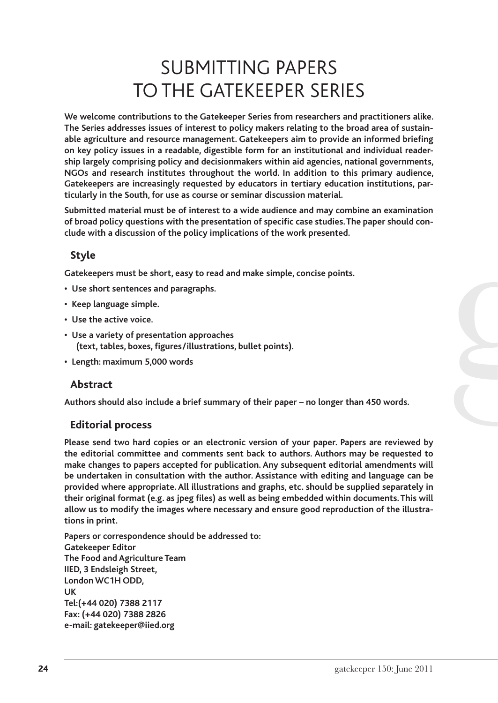# SUBMITTING PAPERS TO THE GATEKEEPER SERIES

**We welcome contributions to the Gatekeeper Series from researchers and practitioners alike. The Series addresses issues of interest to policy makers relating to the broad area of sustainable agriculture and resource management. Gatekeepers aim to provide an informed briefing on key policy issues in a readable, digestible form for an institutional and individual readership largely comprising policy and decisionmakers within aid agencies, national governments, NGOs and research institutes throughout the world. In addition to this primary audience, Gatekeepers are increasingly requested by educators in tertiary education institutions, particularly in the South, for use as course or seminar discussion material.** 

**Submitted material must be of interest to a wide audience and may combine an examination of broad policy questions with the presentation of specific case studies. The paper should conclude with a discussion of the policy implications of the work presented.** 

#### **Style**

**Gatekeepers must be short, easy to read and make simple, concise points.** 

- **Use short sentences and paragraphs.**
- **Keep language simple.**
- **Use the active voice.**
- **Use a variety of presentation approaches (text, tables, boxes, figures/illustrations, bullet points).**
- **Length: maximum 5,000 words**

#### **Abstract**

**Authors should also include a brief summary of their paper – no longer than 450 words.** 

#### **Editorial process**

**Please send two hard copies or an electronic version of your paper. Papers are reviewed by the editorial committee and comments sent back to authors. Authors may be requested to make changes to papers accepted for publication. Any subsequent editorial amendments will be undertaken in consultation with the author. Assistance with editing and language can be provided where appropriate. All illustrations and graphs, etc. should be supplied separately in their original format (e.g. as jpeg files) as well as being embedded within documents. This will allow us to modify the images where necessary and ensure good reproduction of the illustrations in print.** 

**Papers or correspondence should be addressed to: Gatekeeper Editor The Food and Agriculture Team IIED, 3 Endsleigh Street, London WC1H ODD, UK Tel:(+44 020) 7388 2117 Fax: (+44 020) 7388 2826 e-mail: gatekeeper@iied.org**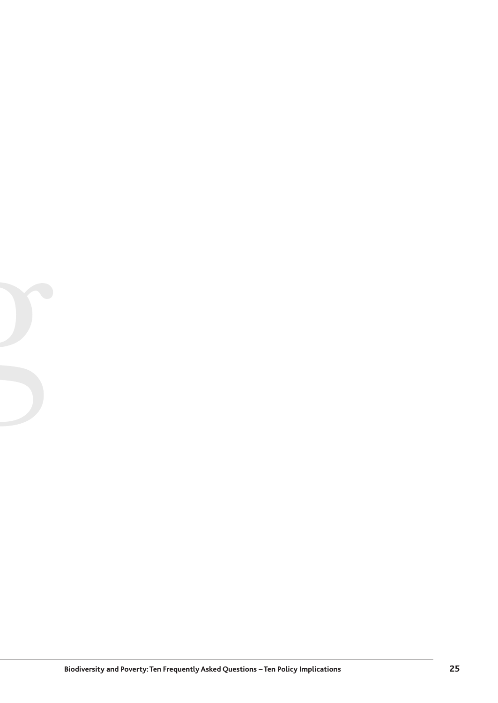**Biodiversity and Poverty: Ten Frequently Asked Questions – Ten Policy Implications 25**